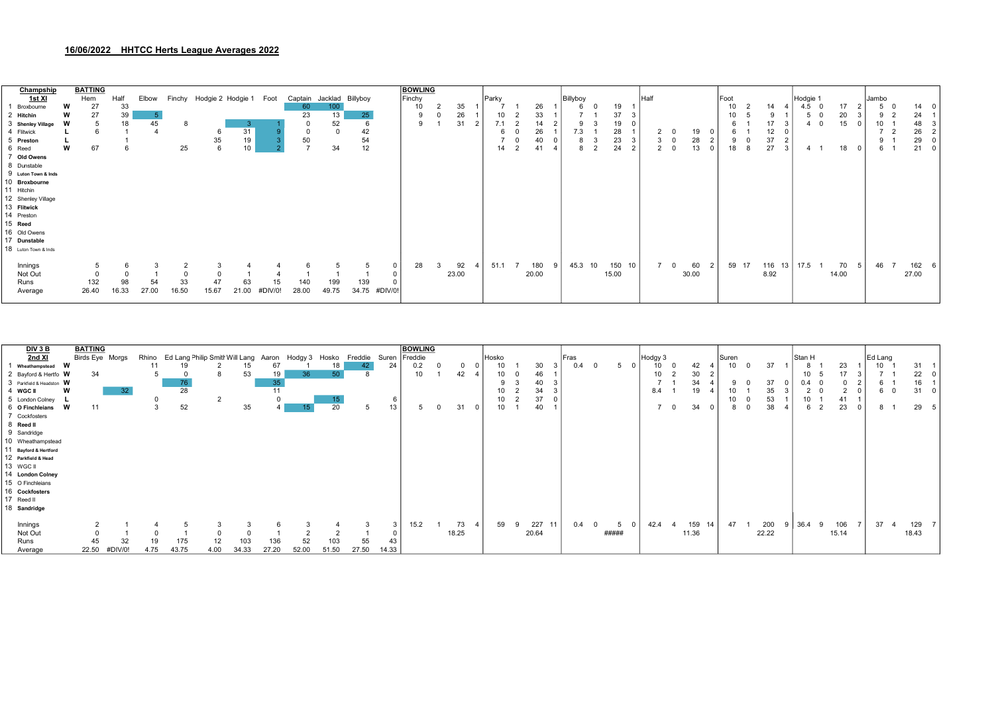## 16/06/2022 HHTCC Herts League Averages 2022

| Champship            |   | <b>BATTING</b> |       |       |          |                   |       |         |               |          |          |              | <b>BOWLING</b> |       |       |                |       |                    |           |      |                |       |      |       |          |                |          |                          |       |       |                |       |          |
|----------------------|---|----------------|-------|-------|----------|-------------------|-------|---------|---------------|----------|----------|--------------|----------------|-------|-------|----------------|-------|--------------------|-----------|------|----------------|-------|------|-------|----------|----------------|----------|--------------------------|-------|-------|----------------|-------|----------|
| 1st XI               |   | Hem            | Half  | Elbow | Finchy   | Hodgie 2 Hodgie 1 |       | Foot    | Captain       | Jacklad  | Billyboy |              | Finchy         |       | Parky |                |       | Billyboy           |           | Half |                |       | Foot |       |          |                | Hodgie 1 |                          |       | Jambo |                |       |          |
| Broxbourne           | W | 27             | 33    |       |          |                   |       |         | 60            | 100      |          |              | 10             | 35    |       |                | 26    | b                  | 19        |      |                |       | 10   |       | 14       |                | 4.5      |                          | 17    | 5     |                | 14    | $\Omega$ |
| 2 Hitchin            | w | 27             | 39    |       |          |                   |       |         | 23            | 13       | 25       |              | 9              | 26    |       |                | 33    |                    | 37        |      |                |       | 10   |       | $\Omega$ |                | 5        | $\overline{\phantom{0}}$ | 20    | 9     |                | 24    |          |
| 3 Shenley Village    | W |                | 18    | 45    | 8        |                   |       |         | $\Omega$      | 52       |          |              | 9              | 31    | 7.1   |                | 14    | g                  | 19        |      |                |       | 6    |       | 17       |                | 4 0      |                          | 15    | 10    |                | 48    |          |
| 4 Flitwick           |   |                |       |       |          |                   | 31    |         | $\Omega$      | $\Omega$ | 42       |              |                |       | 6     |                | 26    | 7.3                | 28        |      |                | 19    |      | 6     | 12       |                |          |                          |       |       |                | 26    |          |
| 5 Preston            |   |                |       |       |          | 35                | 19    |         | 50            |          | 54       |              |                |       |       |                | 40    | Ö                  | 23        |      | 3              | 28    | 9    |       | 37       | $\overline{2}$ |          |                          |       | 9     |                | 29    |          |
| 6 Reed               | W | 67             | 6     |       | 25       |                   | 10    |         | $\rightarrow$ | 34       | 12       |              |                |       | 14    | $\overline{2}$ | 41    | 8<br>$\mathcal{P}$ | 24        |      | $\overline{2}$ | 13    | 18   | 8     | 27       | 3              |          |                          | 18    |       | 6 <sup>1</sup> | 21    | $\Omega$ |
| 7 Old Owens          |   |                |       |       |          |                   |       |         |               |          |          |              |                |       |       |                |       |                    |           |      |                |       |      |       |          |                |          |                          |       |       |                |       |          |
| 8 Dunstable          |   |                |       |       |          |                   |       |         |               |          |          |              |                |       |       |                |       |                    |           |      |                |       |      |       |          |                |          |                          |       |       |                |       |          |
| 9 Luton Town & Inds  |   |                |       |       |          |                   |       |         |               |          |          |              |                |       |       |                |       |                    |           |      |                |       |      |       |          |                |          |                          |       |       |                |       |          |
| 10 Broxbourne        |   |                |       |       |          |                   |       |         |               |          |          |              |                |       |       |                |       |                    |           |      |                |       |      |       |          |                |          |                          |       |       |                |       |          |
| 11 Hitchin           |   |                |       |       |          |                   |       |         |               |          |          |              |                |       |       |                |       |                    |           |      |                |       |      |       |          |                |          |                          |       |       |                |       |          |
| 12 Shenley Village   |   |                |       |       |          |                   |       |         |               |          |          |              |                |       |       |                |       |                    |           |      |                |       |      |       |          |                |          |                          |       |       |                |       |          |
| 13 Flitwick          |   |                |       |       |          |                   |       |         |               |          |          |              |                |       |       |                |       |                    |           |      |                |       |      |       |          |                |          |                          |       |       |                |       |          |
| 14 Preston           |   |                |       |       |          |                   |       |         |               |          |          |              |                |       |       |                |       |                    |           |      |                |       |      |       |          |                |          |                          |       |       |                |       |          |
| 15 Reed              |   |                |       |       |          |                   |       |         |               |          |          |              |                |       |       |                |       |                    |           |      |                |       |      |       |          |                |          |                          |       |       |                |       |          |
| 16 Old Owens         |   |                |       |       |          |                   |       |         |               |          |          |              |                |       |       |                |       |                    |           |      |                |       |      |       |          |                |          |                          |       |       |                |       |          |
| 17 Dunstable         |   |                |       |       |          |                   |       |         |               |          |          |              |                |       |       |                |       |                    |           |      |                |       |      |       |          |                |          |                          |       |       |                |       |          |
| 18 Luton Town & Inds |   |                |       |       |          |                   |       |         |               |          |          |              |                |       |       |                |       |                    |           |      |                |       |      |       |          |                |          |                          |       |       |                |       |          |
| Innings              |   |                |       |       |          |                   |       |         |               | 5        |          | $\mathbf{0}$ | 28             | 92    | 51.1  |                | 180   | 45.3<br>10         | 150<br>10 |      |                | 60    |      | 59 17 | 116 13   |                | 17.5     |                          | 70    | 46    |                | 162   |          |
| Not Out              |   |                |       |       | $\Omega$ |                   |       |         |               |          |          | $\mathbf 0$  |                | 23.00 |       |                | 20.00 |                    | 15.00     |      |                | 30.00 |      |       | 8.92     |                |          |                          | 14.00 |       |                | 27.00 |          |
| Runs                 |   | 132            | 98    | 54    | 33       | 47                | 63    | 15      | 140           | 199      | 139      |              |                |       |       |                |       |                    |           |      |                |       |      |       |          |                |          |                          |       |       |                |       |          |
| Average              |   | 26.40          | 16.33 | 27.00 | 16.50    | 15.67             | 21.00 | #DIV/0! | 28.00         | 49.75    | 34.75    | #DIV/0!      |                |       |       |                |       |                    |           |      |                |       |      |       |          |                |          |                          |       |       |                |       |          |
|                      |   |                |       |       |          |                   |       |         |               |          |          |              |                |       |       |                |       |                    |           |      |                |       |      |       |          |                |          |                          |       |       |                |       |          |

| DIV 3 B                  | <b>BATTING</b> |                 |      |                                            |      |       |       |         |                 |         |       | <b>BOWLING</b> |       |       |       |      |                 |       |          |           |       |                         |       |        |                |       |         |       |  |
|--------------------------|----------------|-----------------|------|--------------------------------------------|------|-------|-------|---------|-----------------|---------|-------|----------------|-------|-------|-------|------|-----------------|-------|----------|-----------|-------|-------------------------|-------|--------|----------------|-------|---------|-------|--|
| 2nd XI                   |                | Birds Eye Morgs |      | Rhino Ed Lang Philip Smitt Will Lang Aaron |      |       |       | Hodgy 3 | Hosko           | Freddie | Suren | Freddie        |       | Hosko |       | Fras |                 |       | Hodgy 3  |           | Suren |                         |       | Stan H |                |       | Ed Lang |       |  |
| Wheathampstead W         |                |                 | 11   |                                            |      | 15    | 67    |         | 18              |         | 24    | 0.2            |       |       | 30    |      | 0.4<br>$\Omega$ |       | 10       | 42        | 10    | $\Omega$                | 37    | 8      |                | 23    | 10      | 31    |  |
| 2 Bayford & Hertfo W     | 34             |                 |      |                                            |      | 53    | 19    | 36      | 50              |         |       | 10             | 42    |       | 46    |      |                 |       | 10       | 30        |       |                         |       |        | 10 5           |       |         | 22    |  |
| 3 Parkfield & Headston W |                |                 |      | $\frac{76}{28}$                            |      |       | 35    |         |                 |         |       |                |       | -9    | 40    |      |                 |       | -        | 34        | 9     | - 0                     | 37    |        | $0.4 \quad 0$  |       | 6       |       |  |
| 4 WGC II                 | W              | 32 <sub>2</sub> |      |                                            |      |       | 11    |         |                 |         |       |                |       | 10    | 34    |      |                 |       | 8.4      | 19        | 10    |                         | 35    |        | 2 <sup>o</sup> |       | 6 (     | 31    |  |
| 5 London Colney          |                |                 |      |                                            |      |       |       |         | 15 <sub>1</sub> |         | 6     |                |       | 10    | 37    |      |                 |       |          |           | 10    |                         | 53    | 10     |                | 41    |         |       |  |
| 6 O Finchleians          | W<br>11        |                 |      | 52                                         |      | 35    |       | 15.     | 20              |         | 13    |                | 31    | 10    | 40    |      |                 |       | $\Omega$ | 34        | 8     | $\overline{\mathbf{0}}$ | 38    |        | 6 2            | 23    | 8 1     | 29    |  |
| 7 Cockfosters            |                |                 |      |                                            |      |       |       |         |                 |         |       |                |       |       |       |      |                 |       |          |           |       |                         |       |        |                |       |         |       |  |
| 8 Reed II                |                |                 |      |                                            |      |       |       |         |                 |         |       |                |       |       |       |      |                 |       |          |           |       |                         |       |        |                |       |         |       |  |
| 9 Sandridge              |                |                 |      |                                            |      |       |       |         |                 |         |       |                |       |       |       |      |                 |       |          |           |       |                         |       |        |                |       |         |       |  |
| 10 Wheathampstead        |                |                 |      |                                            |      |       |       |         |                 |         |       |                |       |       |       |      |                 |       |          |           |       |                         |       |        |                |       |         |       |  |
| 11 Bayford & Hertford    |                |                 |      |                                            |      |       |       |         |                 |         |       |                |       |       |       |      |                 |       |          |           |       |                         |       |        |                |       |         |       |  |
| 12 Parkfield & Head      |                |                 |      |                                            |      |       |       |         |                 |         |       |                |       |       |       |      |                 |       |          |           |       |                         |       |        |                |       |         |       |  |
| 13 WGC II                |                |                 |      |                                            |      |       |       |         |                 |         |       |                |       |       |       |      |                 |       |          |           |       |                         |       |        |                |       |         |       |  |
| 14 London Colney         |                |                 |      |                                            |      |       |       |         |                 |         |       |                |       |       |       |      |                 |       |          |           |       |                         |       |        |                |       |         |       |  |
| 15 O Finchleians         |                |                 |      |                                            |      |       |       |         |                 |         |       |                |       |       |       |      |                 |       |          |           |       |                         |       |        |                |       |         |       |  |
| 16 Cockfosters           |                |                 |      |                                            |      |       |       |         |                 |         |       |                |       |       |       |      |                 |       |          |           |       |                         |       |        |                |       |         |       |  |
| 17 Reed II               |                |                 |      |                                            |      |       |       |         |                 |         |       |                |       |       |       |      |                 |       |          |           |       |                         |       |        |                |       |         |       |  |
| 18 Sandridge             |                |                 |      |                                            |      |       |       |         |                 |         |       |                |       |       |       |      |                 |       |          |           |       |                         |       |        |                |       |         |       |  |
|                          |                |                 |      |                                            |      |       |       |         |                 |         |       |                |       |       |       |      |                 |       |          |           |       |                         |       |        |                |       |         |       |  |
| Innings                  |                |                 |      |                                            |      |       |       |         |                 |         | 3     | 15.2           | 73    | 59    | 227   |      | 0.4<br>$\Omega$ | 5     | 42.4     | 159<br>14 | 47    |                         | 200   | 36.4   |                | 106   | 37      | 129   |  |
| Not Out                  |                |                 |      |                                            |      |       |       |         |                 |         |       |                | 18.25 |       | 20.64 |      |                 | ##### |          | 11.36     |       |                         | 22.22 |        |                | 15.14 |         | 18.43 |  |
| Runs                     | 45             | 32              | 19   | 175                                        | 12   | 103   | 136   | 52      | 103             | 55      | 43    |                |       |       |       |      |                 |       |          |           |       |                         |       |        |                |       |         |       |  |
| Average                  | 22.50          | #DIV/0!         | 4.75 | 43.75                                      | 4.00 | 34.33 | 27.20 | 52.00   | 51.50           | 27.50   | 14.33 |                |       |       |       |      |                 |       |          |           |       |                         |       |        |                |       |         |       |  |